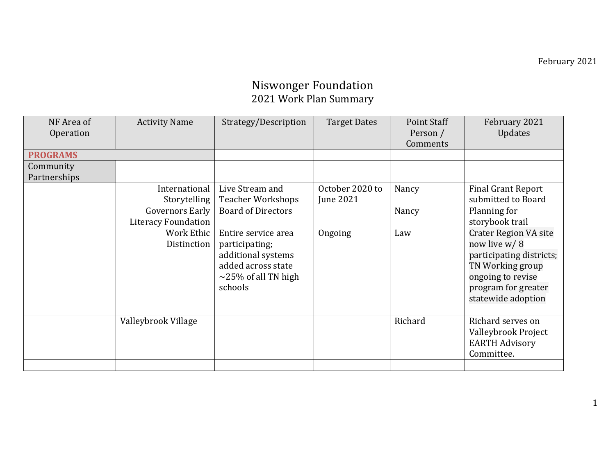### Niswonger Foundation 2021 Work Plan Summary

| NF Area of      | <b>Activity Name</b>       | Strategy/Description      | <b>Target Dates</b> | Point Staff | February 2021                |
|-----------------|----------------------------|---------------------------|---------------------|-------------|------------------------------|
| Operation       |                            |                           |                     | Person /    | Updates                      |
|                 |                            |                           |                     | Comments    |                              |
| <b>PROGRAMS</b> |                            |                           |                     |             |                              |
| Community       |                            |                           |                     |             |                              |
| Partnerships    |                            |                           |                     |             |                              |
|                 | International              | Live Stream and           | October 2020 to     | Nancy       | <b>Final Grant Report</b>    |
|                 | Storytelling               | <b>Teacher Workshops</b>  | <b>June 2021</b>    |             | submitted to Board           |
|                 | <b>Governors Early</b>     | <b>Board of Directors</b> |                     | Nancy       | Planning for                 |
|                 | <b>Literacy Foundation</b> |                           |                     |             | storybook trail              |
|                 | Work Ethic                 | Entire service area       | Ongoing             | Law         | <b>Crater Region VA site</b> |
|                 | Distinction                | participating;            |                     |             | now live w/8                 |
|                 |                            | additional systems        |                     |             | participating districts;     |
|                 |                            | added across state        |                     |             | TN Working group             |
|                 |                            | $\sim$ 25% of all TN high |                     |             | ongoing to revise            |
|                 |                            | schools                   |                     |             | program for greater          |
|                 |                            |                           |                     |             | statewide adoption           |
|                 |                            |                           |                     |             |                              |
|                 | Valleybrook Village        |                           |                     | Richard     | Richard serves on            |
|                 |                            |                           |                     |             | Valleybrook Project          |
|                 |                            |                           |                     |             | <b>EARTH Advisory</b>        |
|                 |                            |                           |                     |             | Committee.                   |
|                 |                            |                           |                     |             |                              |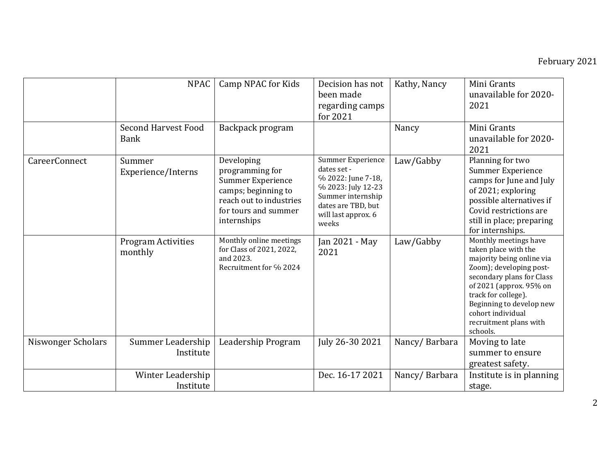|                    | <b>NPAC</b><br><b>Second Harvest Food</b> | Camp NPAC for Kids<br>Backpack program                                                                                                             | Decision has not<br>been made<br>regarding camps<br>for 2021                                                                                            | Kathy, Nancy<br>Nancy | Mini Grants<br>unavailable for 2020-<br>2021<br>Mini Grants                                                                                                                                                                                                                 |
|--------------------|-------------------------------------------|----------------------------------------------------------------------------------------------------------------------------------------------------|---------------------------------------------------------------------------------------------------------------------------------------------------------|-----------------------|-----------------------------------------------------------------------------------------------------------------------------------------------------------------------------------------------------------------------------------------------------------------------------|
|                    | <b>Bank</b>                               |                                                                                                                                                    |                                                                                                                                                         |                       | unavailable for 2020-<br>2021                                                                                                                                                                                                                                               |
| CareerConnect      | Summer<br>Experience/Interns              | Developing<br>programming for<br><b>Summer Experience</b><br>camps; beginning to<br>reach out to industries<br>for tours and summer<br>internships | Summer Experience<br>dates set -<br>% 2022: June 7-18,<br>% 2023: July 12-23<br>Summer internship<br>dates are TBD, but<br>will last approx. 6<br>weeks | Law/Gabby             | Planning for two<br>Summer Experience<br>camps for June and July<br>of 2021; exploring<br>possible alternatives if<br>Covid restrictions are<br>still in place; preparing<br>for internships.                                                                               |
|                    | <b>Program Activities</b><br>monthly      | Monthly online meetings<br>for Class of 2021, 2022,<br>and 2023.<br>Recruitment for % 2024                                                         | Jan 2021 - May<br>2021                                                                                                                                  | Law/Gabby             | Monthly meetings have<br>taken place with the<br>majority being online via<br>Zoom); developing post-<br>secondary plans for Class<br>of 2021 (approx. 95% on<br>track for college).<br>Beginning to develop new<br>cohort individual<br>recruitment plans with<br>schools. |
| Niswonger Scholars | Summer Leadership<br>Institute            | Leadership Program                                                                                                                                 | July 26-30 2021                                                                                                                                         | Nancy/Barbara         | Moving to late<br>summer to ensure<br>greatest safety.                                                                                                                                                                                                                      |
|                    | Winter Leadership<br>Institute            |                                                                                                                                                    | Dec. 16-17 2021                                                                                                                                         | Nancy/Barbara         | Institute is in planning<br>stage.                                                                                                                                                                                                                                          |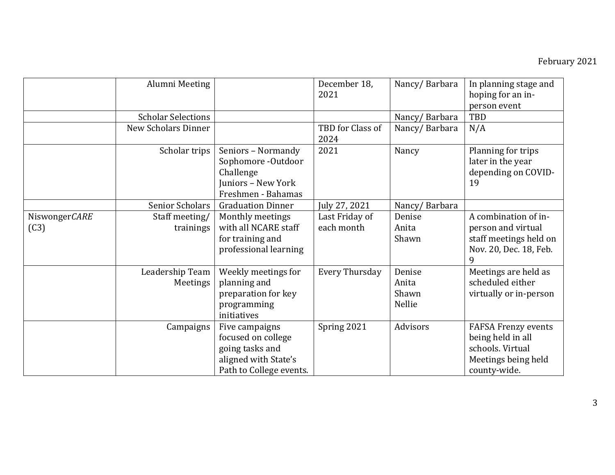|                       | Alumni Meeting              |                                                                                                            | December 18,<br>2021         | Nancy/Barbara                      | In planning stage and<br>hoping for an in-<br>person event                                          |
|-----------------------|-----------------------------|------------------------------------------------------------------------------------------------------------|------------------------------|------------------------------------|-----------------------------------------------------------------------------------------------------|
|                       | <b>Scholar Selections</b>   |                                                                                                            |                              | Nancy/Barbara                      | TBD                                                                                                 |
|                       | <b>New Scholars Dinner</b>  |                                                                                                            | TBD for Class of<br>2024     | Nancy/Barbara                      | N/A                                                                                                 |
|                       | Scholar trips               | Seniors - Normandy<br>Sophomore -Outdoor<br>Challenge<br>Juniors - New York<br>Freshmen - Bahamas          | 2021                         | Nancy                              | Planning for trips<br>later in the year<br>depending on COVID-<br>19                                |
|                       | <b>Senior Scholars</b>      | <b>Graduation Dinner</b>                                                                                   | July 27, 2021                | Nancy/Barbara                      |                                                                                                     |
| NiswongerCARE<br>(C3) | Staff meeting/<br>trainings | Monthly meetings<br>with all NCARE staff<br>for training and<br>professional learning                      | Last Friday of<br>each month | Denise<br>Anita<br>Shawn           | A combination of in-<br>person and virtual<br>staff meetings held on<br>Nov. 20, Dec. 18, Feb.<br>9 |
|                       | Leadership Team<br>Meetings | Weekly meetings for<br>planning and<br>preparation for key<br>programming<br>initiatives                   | <b>Every Thursday</b>        | Denise<br>Anita<br>Shawn<br>Nellie | Meetings are held as<br>scheduled either<br>virtually or in-person                                  |
|                       | Campaigns                   | Five campaigns<br>focused on college<br>going tasks and<br>aligned with State's<br>Path to College events. | Spring 2021                  | Advisors                           | FAFSA Frenzy events<br>being held in all<br>schools. Virtual<br>Meetings being held<br>county-wide. |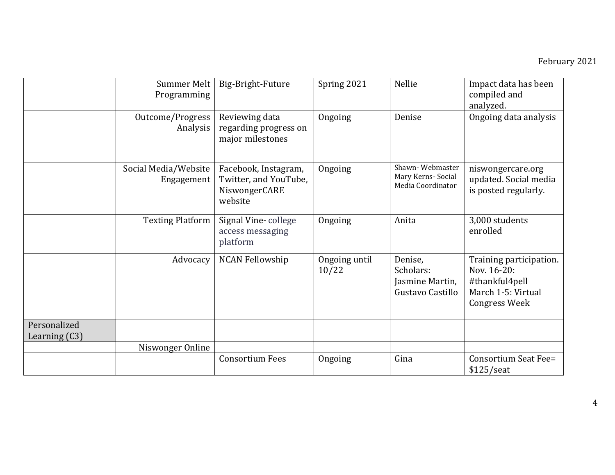|                                 | Summer Melt<br>Programming         | Big-Bright-Future                                                         | Spring 2021            | Nellie                                                      | Impact data has been<br>compiled and<br>analyzed.                                                      |
|---------------------------------|------------------------------------|---------------------------------------------------------------------------|------------------------|-------------------------------------------------------------|--------------------------------------------------------------------------------------------------------|
|                                 | Outcome/Progress<br>Analysis       | Reviewing data<br>regarding progress on<br>major milestones               | Ongoing                | Denise                                                      | Ongoing data analysis                                                                                  |
|                                 | Social Media/Website<br>Engagement | Facebook, Instagram,<br>Twitter, and YouTube,<br>NiswongerCARE<br>website | Ongoing                | Shawn-Webmaster<br>Mary Kerns- Social<br>Media Coordinator  | niswongercare.org<br>updated. Social media<br>is posted regularly.                                     |
|                                 | <b>Texting Platform</b>            | Signal Vine-college<br>access messaging<br>platform                       | Ongoing                | Anita                                                       | 3,000 students<br>enrolled                                                                             |
|                                 | Advocacy                           | <b>NCAN Fellowship</b>                                                    | Ongoing until<br>10/22 | Denise,<br>Scholars:<br>Jasmine Martin,<br>Gustavo Castillo | Training participation.<br>Nov. 16-20:<br>#thankful4pell<br>March 1-5: Virtual<br><b>Congress Week</b> |
| Personalized<br>Learning $(C3)$ |                                    |                                                                           |                        |                                                             |                                                                                                        |
|                                 | Niswonger Online                   |                                                                           |                        |                                                             |                                                                                                        |
|                                 |                                    | <b>Consortium Fees</b>                                                    | Ongoing                | Gina                                                        | Consortium Seat Fee=<br>$$125/$ seat                                                                   |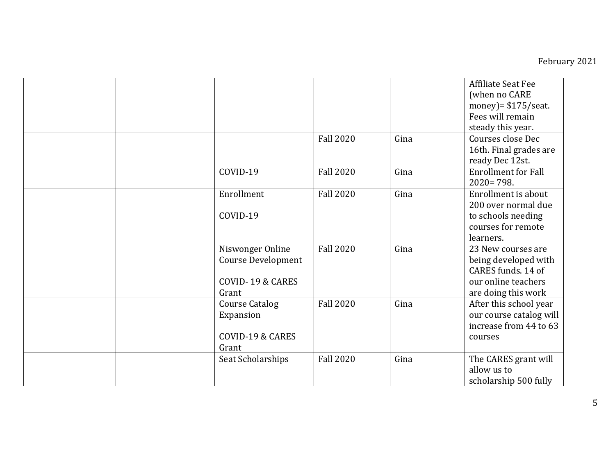|                                                                     |                  |      | Affiliate Seat Fee<br>(when no CARE<br>money) = $$175$ /seat.<br>Fees will remain<br>steady this year.         |
|---------------------------------------------------------------------|------------------|------|----------------------------------------------------------------------------------------------------------------|
|                                                                     | <b>Fall 2020</b> | Gina | Courses close Dec<br>16th. Final grades are<br>ready Dec 12st.                                                 |
| COVID-19                                                            | <b>Fall 2020</b> | Gina | <b>Enrollment for Fall</b><br>$2020 = 798.$                                                                    |
| Enrollment<br>COVID-19                                              | <b>Fall 2020</b> | Gina | Enrollment is about<br>200 over normal due<br>to schools needing<br>courses for remote<br>learners.            |
| Niswonger Online<br>Course Development<br>COVID-19 & CARES<br>Grant | <b>Fall 2020</b> | Gina | 23 New courses are<br>being developed with<br>CARES funds, 14 of<br>our online teachers<br>are doing this work |
| <b>Course Catalog</b><br>Expansion<br>COVID-19 & CARES<br>Grant     | <b>Fall 2020</b> | Gina | After this school year<br>our course catalog will<br>increase from 44 to 63<br>courses                         |
| Seat Scholarships                                                   | <b>Fall 2020</b> | Gina | The CARES grant will<br>allow us to<br>scholarship 500 fully                                                   |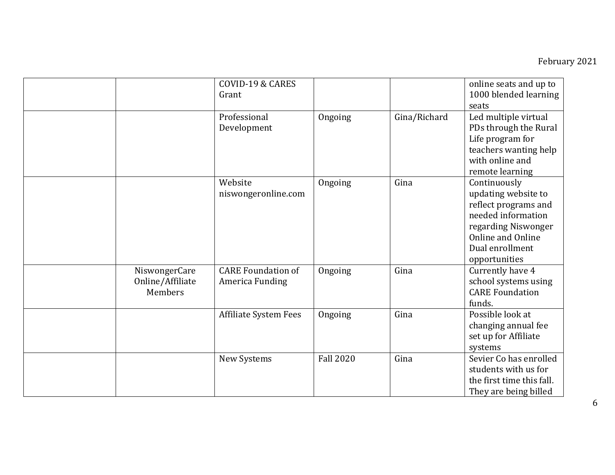|                                              | <b>COVID-19 &amp; CARES</b><br>Grant         |                  |              | online seats and up to<br>1000 blended learning<br>seats                                                                                                          |
|----------------------------------------------|----------------------------------------------|------------------|--------------|-------------------------------------------------------------------------------------------------------------------------------------------------------------------|
|                                              | Professional<br>Development                  | Ongoing          | Gina/Richard | Led multiple virtual<br>PDs through the Rural<br>Life program for<br>teachers wanting help<br>with online and<br>remote learning                                  |
|                                              | Website<br>niswongeronline.com               | Ongoing          | Gina         | Continuously<br>updating website to<br>reflect programs and<br>needed information<br>regarding Niswonger<br>Online and Online<br>Dual enrollment<br>opportunities |
| NiswongerCare<br>Online/Affiliate<br>Members | <b>CARE Foundation of</b><br>America Funding | Ongoing          | Gina         | Currently have 4<br>school systems using<br><b>CARE Foundation</b><br>funds.                                                                                      |
|                                              | <b>Affiliate System Fees</b>                 | Ongoing          | Gina         | Possible look at<br>changing annual fee<br>set up for Affiliate<br>systems                                                                                        |
|                                              | New Systems                                  | <b>Fall 2020</b> | Gina         | Sevier Co has enrolled<br>students with us for<br>the first time this fall.<br>They are being billed                                                              |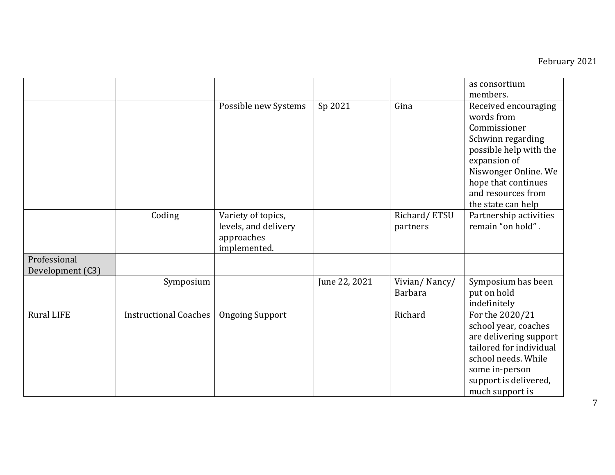|                                  |                              |                                                                          |               |                                 | as consortium<br>members.                                                                                                                                                                                    |
|----------------------------------|------------------------------|--------------------------------------------------------------------------|---------------|---------------------------------|--------------------------------------------------------------------------------------------------------------------------------------------------------------------------------------------------------------|
|                                  |                              | Possible new Systems                                                     | Sp 2021       | Gina                            | Received encouraging<br>words from<br>Commissioner<br>Schwinn regarding<br>possible help with the<br>expansion of<br>Niswonger Online. We<br>hope that continues<br>and resources from<br>the state can help |
|                                  | Coding                       | Variety of topics,<br>levels, and delivery<br>approaches<br>implemented. |               | Richard/ETSU<br>partners        | Partnership activities<br>remain "on hold".                                                                                                                                                                  |
| Professional<br>Development (C3) |                              |                                                                          |               |                                 |                                                                                                                                                                                                              |
|                                  | Symposium                    |                                                                          | June 22, 2021 | Vivian/Nancy/<br><b>Barbara</b> | Symposium has been<br>put on hold<br>indefinitely                                                                                                                                                            |
| <b>Rural LIFE</b>                | <b>Instructional Coaches</b> | <b>Ongoing Support</b>                                                   |               | Richard                         | For the 2020/21<br>school year, coaches<br>are delivering support<br>tailored for individual<br>school needs. While<br>some in-person<br>support is delivered,<br>much support is                            |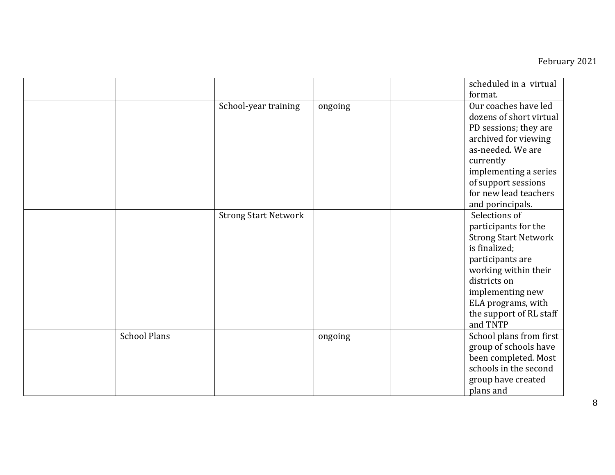|                     |                             |         | scheduled in a virtual<br>format.                                                                                                                                                                                                  |
|---------------------|-----------------------------|---------|------------------------------------------------------------------------------------------------------------------------------------------------------------------------------------------------------------------------------------|
|                     | School-year training        | ongoing | Our coaches have led<br>dozens of short virtual<br>PD sessions; they are<br>archived for viewing<br>as-needed. We are<br>currently<br>implementing a series<br>of support sessions<br>for new lead teachers<br>and porincipals.    |
|                     | <b>Strong Start Network</b> |         | Selections of<br>participants for the<br><b>Strong Start Network</b><br>is finalized;<br>participants are<br>working within their<br>districts on<br>implementing new<br>ELA programs, with<br>the support of RL staff<br>and TNTP |
| <b>School Plans</b> |                             | ongoing | School plans from first<br>group of schools have<br>been completed. Most<br>schools in the second<br>group have created<br>plans and                                                                                               |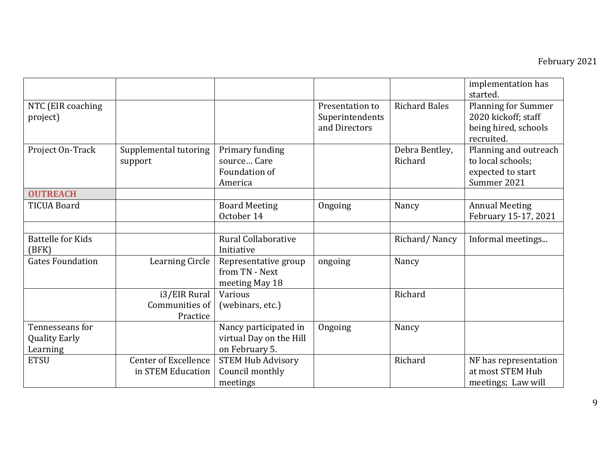|                                                     |                                                  |                                                                    |                                                     |                           | implementation has<br>started.                                                          |
|-----------------------------------------------------|--------------------------------------------------|--------------------------------------------------------------------|-----------------------------------------------------|---------------------------|-----------------------------------------------------------------------------------------|
| NTC (EIR coaching<br>project)                       |                                                  |                                                                    | Presentation to<br>Superintendents<br>and Directors | <b>Richard Bales</b>      | <b>Planning for Summer</b><br>2020 kickoff; staff<br>being hired, schools<br>recruited. |
| Project On-Track                                    | Supplemental tutoring<br>support                 | Primary funding<br>source Care<br>Foundation of<br>America         |                                                     | Debra Bentley,<br>Richard | Planning and outreach<br>to local schools;<br>expected to start<br>Summer 2021          |
| <b>OUTREACH</b>                                     |                                                  |                                                                    |                                                     |                           |                                                                                         |
| <b>TICUA Board</b>                                  |                                                  | <b>Board Meeting</b><br>October 14                                 | Ongoing                                             | Nancy                     | <b>Annual Meeting</b><br>February 15-17, 2021                                           |
|                                                     |                                                  |                                                                    |                                                     |                           |                                                                                         |
| <b>Battelle for Kids</b><br>(BFK)                   |                                                  | <b>Rural Collaborative</b><br>Initiative                           |                                                     | Richard/Nancy             | Informal meetings                                                                       |
| <b>Gates Foundation</b>                             | Learning Circle                                  | Representative group<br>from TN - Next<br>meeting May 18           | ongoing                                             | Nancy                     |                                                                                         |
|                                                     | i3/EIR Rural<br>Communities of<br>Practice       | Various<br>(webinars, etc.)                                        |                                                     | Richard                   |                                                                                         |
| Tennesseans for<br><b>Quality Early</b><br>Learning |                                                  | Nancy participated in<br>virtual Day on the Hill<br>on February 5. | Ongoing                                             | Nancy                     |                                                                                         |
| <b>ETSU</b>                                         | <b>Center of Excellence</b><br>in STEM Education | <b>STEM Hub Advisory</b><br>Council monthly<br>meetings            |                                                     | Richard                   | NF has representation<br>at most STEM Hub<br>meetings; Law will                         |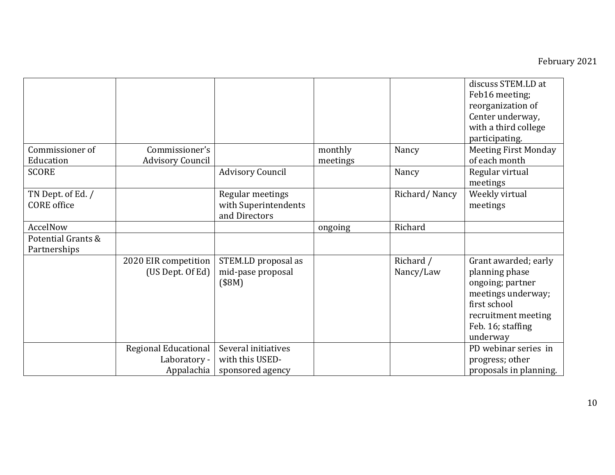|                    |                         |                             |          |               | discuss STEM.LD at<br>Feb16 meeting;<br>reorganization of<br>Center underway,<br>with a third college                            |
|--------------------|-------------------------|-----------------------------|----------|---------------|----------------------------------------------------------------------------------------------------------------------------------|
|                    |                         |                             |          |               | participating.                                                                                                                   |
| Commissioner of    | Commissioner's          |                             | monthly  | Nancy         | <b>Meeting First Monday</b>                                                                                                      |
| Education          | <b>Advisory Council</b> |                             | meetings |               | of each month                                                                                                                    |
| <b>SCORE</b>       |                         | <b>Advisory Council</b>     |          | Nancy         | Regular virtual<br>meetings                                                                                                      |
| TN Dept. of Ed. /  |                         | Regular meetings            |          | Richard/Nancy | Weekly virtual                                                                                                                   |
| <b>CORE</b> office |                         | with Superintendents        |          |               | meetings                                                                                                                         |
|                    |                         | and Directors               |          |               |                                                                                                                                  |
| AccelNow           |                         |                             | ongoing  | Richard       |                                                                                                                                  |
| Potential Grants & |                         |                             |          |               |                                                                                                                                  |
| Partnerships       |                         |                             |          |               |                                                                                                                                  |
|                    | 2020 EIR competition    | STEM.LD proposal as         |          | Richard /     | Grant awarded; early                                                                                                             |
|                    | (US Dept. Of Ed)        | mid-pase proposal<br>(\$8M) |          | Nancy/Law     | planning phase<br>ongoing; partner<br>meetings underway;<br>first school<br>recruitment meeting<br>Feb. 16; staffing<br>underway |
|                    | Regional Educational    | Several initiatives         |          |               | PD webinar series in                                                                                                             |
|                    | Laboratory -            | with this USED-             |          |               | progress; other                                                                                                                  |
|                    | Appalachia              | sponsored agency            |          |               | proposals in planning.                                                                                                           |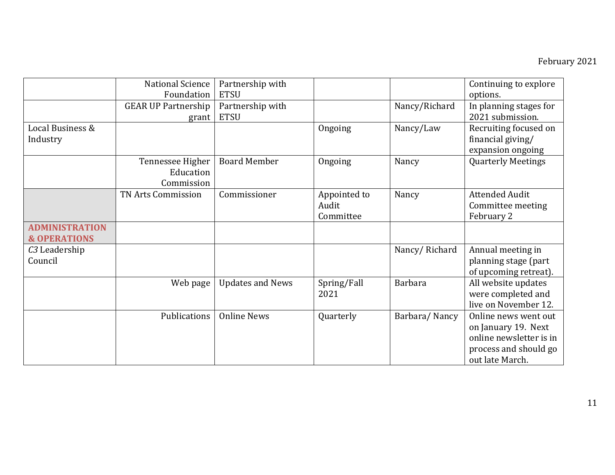|                                                  | National Science<br>Foundation              | Partnership with<br><b>ETSU</b> |                                    |                | Continuing to explore<br>options.                                                                                  |
|--------------------------------------------------|---------------------------------------------|---------------------------------|------------------------------------|----------------|--------------------------------------------------------------------------------------------------------------------|
|                                                  | <b>GEAR UP Partnership</b><br>grant         | Partnership with<br><b>ETSU</b> |                                    | Nancy/Richard  | In planning stages for<br>2021 submission.                                                                         |
| Local Business &<br>Industry                     |                                             |                                 | Ongoing                            | Nancy/Law      | Recruiting focused on<br>financial giving/<br>expansion ongoing                                                    |
|                                                  | Tennessee Higher<br>Education<br>Commission | <b>Board Member</b>             | Ongoing                            | Nancy          | <b>Quarterly Meetings</b>                                                                                          |
|                                                  | TN Arts Commission                          | Commissioner                    | Appointed to<br>Audit<br>Committee | Nancy          | <b>Attended Audit</b><br>Committee meeting<br>February 2                                                           |
| <b>ADMINISTRATION</b><br><b>&amp; OPERATIONS</b> |                                             |                                 |                                    |                |                                                                                                                    |
| C <sub>3</sub> Leadership<br>Council             |                                             |                                 |                                    | Nancy/Richard  | Annual meeting in<br>planning stage (part<br>of upcoming retreat).                                                 |
|                                                  | Web page                                    | <b>Updates and News</b>         | Spring/Fall<br>2021                | <b>Barbara</b> | All website updates<br>were completed and<br>live on November 12.                                                  |
|                                                  | Publications                                | <b>Online News</b>              | Quarterly                          | Barbara/Nancy  | Online news went out<br>on January 19. Next<br>online newsletter is in<br>process and should go<br>out late March. |